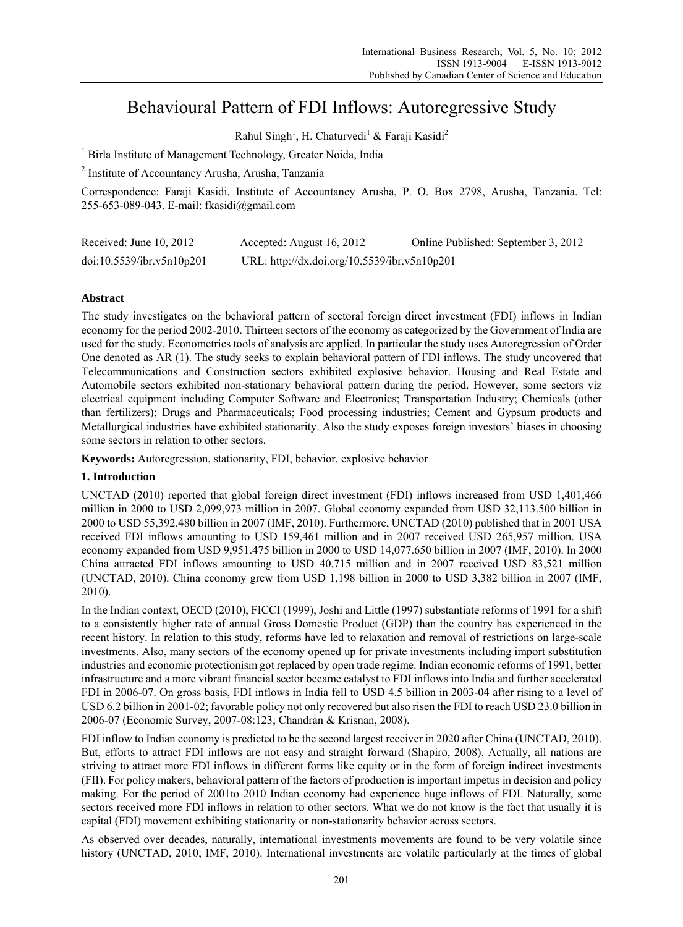# Behavioural Pattern of FDI Inflows: Autoregressive Study

Rahul Singh<sup>1</sup>, H. Chaturvedi<sup>1</sup> & Faraji Kasidi<sup>2</sup>

<sup>1</sup> Birla Institute of Management Technology, Greater Noida, India

<sup>2</sup> Institute of Accountancy Arusha, Arusha, Tanzania

Correspondence: Faraji Kasidi, Institute of Accountancy Arusha, P. O. Box 2798, Arusha, Tanzania. Tel: 255-653-089-043. E-mail: fkasidi@gmail.com

| Received: June 10, 2012   | Accepted: August 16, 2012                    | Online Published: September 3, 2012 |
|---------------------------|----------------------------------------------|-------------------------------------|
| doi:10.5539/ibr.v5n10p201 | URL: http://dx.doi.org/10.5539/ibr.v5n10p201 |                                     |

# **Abstract**

The study investigates on the behavioral pattern of sectoral foreign direct investment (FDI) inflows in Indian economy for the period 2002-2010. Thirteen sectors of the economy as categorized by the Government of India are used for the study. Econometrics tools of analysis are applied. In particular the study uses Autoregression of Order One denoted as AR (1). The study seeks to explain behavioral pattern of FDI inflows. The study uncovered that Telecommunications and Construction sectors exhibited explosive behavior. Housing and Real Estate and Automobile sectors exhibited non-stationary behavioral pattern during the period. However, some sectors viz electrical equipment including Computer Software and Electronics; Transportation Industry; Chemicals (other than fertilizers); Drugs and Pharmaceuticals; Food processing industries; Cement and Gypsum products and Metallurgical industries have exhibited stationarity. Also the study exposes foreign investors' biases in choosing some sectors in relation to other sectors.

**Keywords:** Autoregression, stationarity, FDI, behavior, explosive behavior

# **1. Introduction**

UNCTAD (2010) reported that global foreign direct investment (FDI) inflows increased from USD 1,401,466 million in 2000 to USD 2,099,973 million in 2007. Global economy expanded from USD 32,113.500 billion in 2000 to USD 55,392.480 billion in 2007 (IMF, 2010). Furthermore, UNCTAD (2010) published that in 2001 USA received FDI inflows amounting to USD 159,461 million and in 2007 received USD 265,957 million. USA economy expanded from USD 9,951.475 billion in 2000 to USD 14,077.650 billion in 2007 (IMF, 2010). In 2000 China attracted FDI inflows amounting to USD 40,715 million and in 2007 received USD 83,521 million (UNCTAD, 2010). China economy grew from USD 1,198 billion in 2000 to USD 3,382 billion in 2007 (IMF, 2010).

In the Indian context, OECD (2010), FICCI (1999), Joshi and Little (1997) substantiate reforms of 1991 for a shift to a consistently higher rate of annual Gross Domestic Product (GDP) than the country has experienced in the recent history. In relation to this study, reforms have led to relaxation and removal of restrictions on large-scale investments. Also, many sectors of the economy opened up for private investments including import substitution industries and economic protectionism got replaced by open trade regime. Indian economic reforms of 1991, better infrastructure and a more vibrant financial sector became catalyst to FDI inflows into India and further accelerated FDI in 2006-07. On gross basis, FDI inflows in India fell to USD 4.5 billion in 2003-04 after rising to a level of USD 6.2 billion in 2001-02; favorable policy not only recovered but also risen the FDI to reach USD 23.0 billion in 2006-07 (Economic Survey, 2007-08:123; Chandran & Krisnan, 2008).

FDI inflow to Indian economy is predicted to be the second largest receiver in 2020 after China (UNCTAD, 2010). But, efforts to attract FDI inflows are not easy and straight forward (Shapiro, 2008). Actually, all nations are striving to attract more FDI inflows in different forms like equity or in the form of foreign indirect investments (FII). For policy makers, behavioral pattern of the factors of production is important impetus in decision and policy making. For the period of 2001to 2010 Indian economy had experience huge inflows of FDI. Naturally, some sectors received more FDI inflows in relation to other sectors. What we do not know is the fact that usually it is capital (FDI) movement exhibiting stationarity or non-stationarity behavior across sectors.

As observed over decades, naturally, international investments movements are found to be very volatile since history (UNCTAD, 2010; IMF, 2010). International investments are volatile particularly at the times of global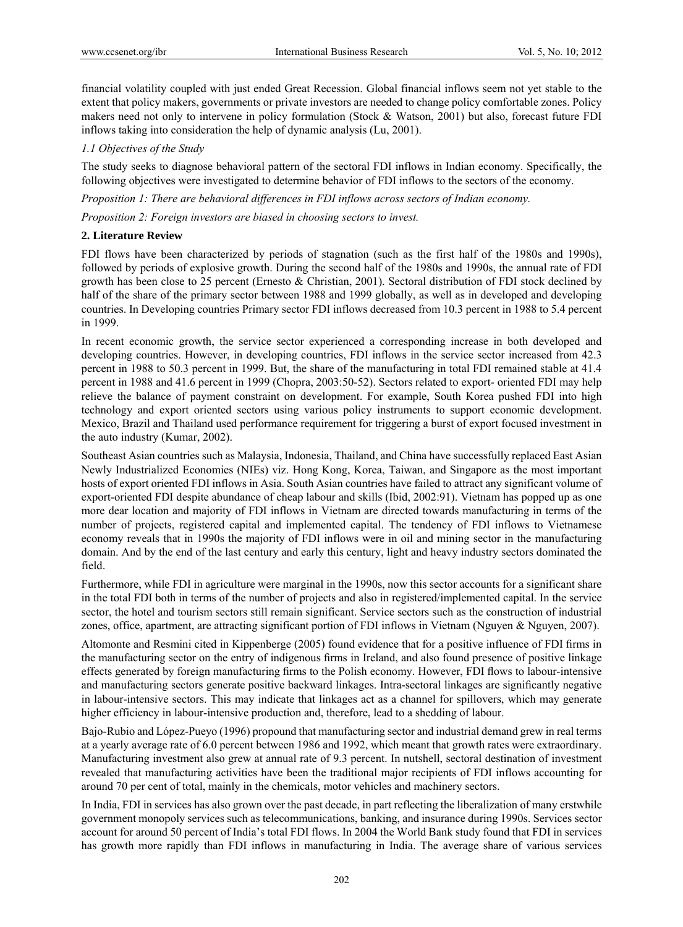financial volatility coupled with just ended Great Recession. Global financial inflows seem not yet stable to the extent that policy makers, governments or private investors are needed to change policy comfortable zones. Policy makers need not only to intervene in policy formulation (Stock & Watson, 2001) but also, forecast future FDI inflows taking into consideration the help of dynamic analysis (Lu, 2001).

# *1.1 Objectives of the Study*

The study seeks to diagnose behavioral pattern of the sectoral FDI inflows in Indian economy. Specifically, the following objectives were investigated to determine behavior of FDI inflows to the sectors of the economy.

*Proposition 1: There are behavioral differences in FDI inflows across sectors of Indian economy.* 

*Proposition 2: Foreign investors are biased in choosing sectors to invest.* 

# **2. Literature Review**

FDI flows have been characterized by periods of stagnation (such as the first half of the 1980s and 1990s), followed by periods of explosive growth. During the second half of the 1980s and 1990s, the annual rate of FDI growth has been close to 25 percent (Ernesto & Christian, 2001). Sectoral distribution of FDI stock declined by half of the share of the primary sector between 1988 and 1999 globally, as well as in developed and developing countries. In Developing countries Primary sector FDI inflows decreased from 10.3 percent in 1988 to 5.4 percent in 1999.

In recent economic growth, the service sector experienced a corresponding increase in both developed and developing countries. However, in developing countries, FDI inflows in the service sector increased from 42.3 percent in 1988 to 50.3 percent in 1999. But, the share of the manufacturing in total FDI remained stable at 41.4 percent in 1988 and 41.6 percent in 1999 (Chopra, 2003:50-52). Sectors related to export- oriented FDI may help relieve the balance of payment constraint on development. For example, South Korea pushed FDI into high technology and export oriented sectors using various policy instruments to support economic development. Mexico, Brazil and Thailand used performance requirement for triggering a burst of export focused investment in the auto industry (Kumar, 2002).

Southeast Asian countries such as Malaysia, Indonesia, Thailand, and China have successfully replaced East Asian Newly Industrialized Economies (NIEs) viz. Hong Kong, Korea, Taiwan, and Singapore as the most important hosts of export oriented FDI inflows in Asia. South Asian countries have failed to attract any significant volume of export-oriented FDI despite abundance of cheap labour and skills (Ibid, 2002:91). Vietnam has popped up as one more dear location and majority of FDI inflows in Vietnam are directed towards manufacturing in terms of the number of projects, registered capital and implemented capital. The tendency of FDI inflows to Vietnamese economy reveals that in 1990s the majority of FDI inflows were in oil and mining sector in the manufacturing domain. And by the end of the last century and early this century, light and heavy industry sectors dominated the field.

Furthermore, while FDI in agriculture were marginal in the 1990s, now this sector accounts for a significant share in the total FDI both in terms of the number of projects and also in registered/implemented capital. In the service sector, the hotel and tourism sectors still remain significant. Service sectors such as the construction of industrial zones, office, apartment, are attracting significant portion of FDI inflows in Vietnam (Nguyen & Nguyen, 2007).

Altomonte and Resmini cited in Kippenberge (2005) found evidence that for a positive influence of FDI firms in the manufacturing sector on the entry of indigenous firms in Ireland, and also found presence of positive linkage effects generated by foreign manufacturing firms to the Polish economy. However, FDI flows to labour-intensive and manufacturing sectors generate positive backward linkages. Intra-sectoral linkages are significantly negative in labour-intensive sectors. This may indicate that linkages act as a channel for spillovers, which may generate higher efficiency in labour-intensive production and, therefore, lead to a shedding of labour.

Bajo-Rubio and López-Pueyo (1996) propound that manufacturing sector and industrial demand grew in real terms at a yearly average rate of 6.0 percent between 1986 and 1992, which meant that growth rates were extraordinary. Manufacturing investment also grew at annual rate of 9.3 percent. In nutshell, sectoral destination of investment revealed that manufacturing activities have been the traditional major recipients of FDI inflows accounting for around 70 per cent of total, mainly in the chemicals, motor vehicles and machinery sectors.

In India, FDI in services has also grown over the past decade, in part reflecting the liberalization of many erstwhile government monopoly services such as telecommunications, banking, and insurance during 1990s. Services sector account for around 50 percent of India's total FDI flows. In 2004 the World Bank study found that FDI in services has growth more rapidly than FDI inflows in manufacturing in India. The average share of various services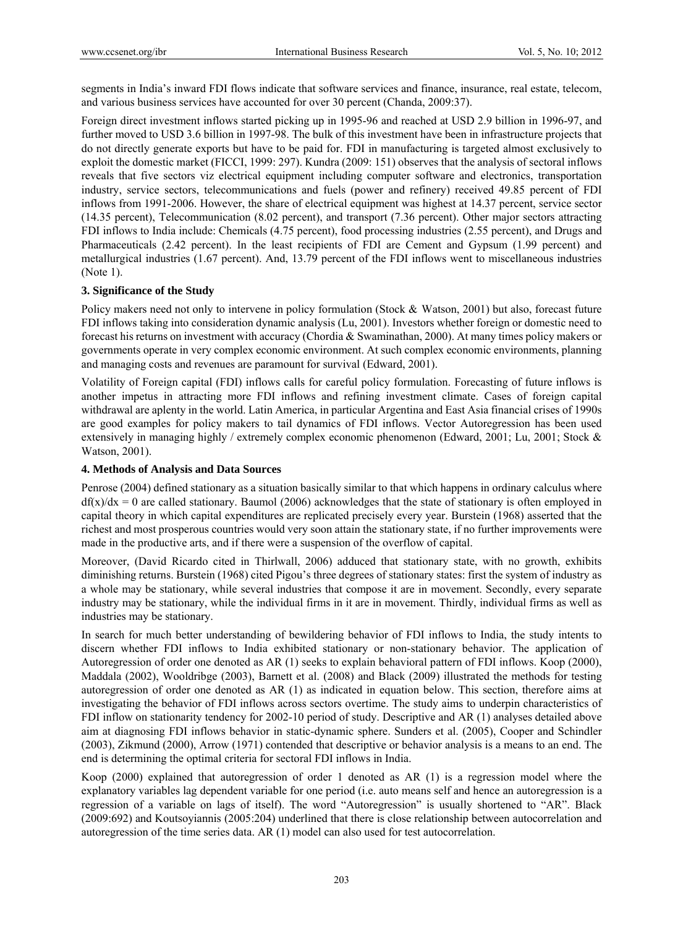segments in India's inward FDI flows indicate that software services and finance, insurance, real estate, telecom, and various business services have accounted for over 30 percent (Chanda, 2009:37).

Foreign direct investment inflows started picking up in 1995-96 and reached at USD 2.9 billion in 1996-97, and further moved to USD 3.6 billion in 1997-98. The bulk of this investment have been in infrastructure projects that do not directly generate exports but have to be paid for. FDI in manufacturing is targeted almost exclusively to exploit the domestic market (FICCI, 1999: 297). Kundra (2009: 151) observes that the analysis of sectoral inflows reveals that five sectors viz electrical equipment including computer software and electronics, transportation industry, service sectors, telecommunications and fuels (power and refinery) received 49.85 percent of FDI inflows from 1991-2006. However, the share of electrical equipment was highest at 14.37 percent, service sector (14.35 percent), Telecommunication (8.02 percent), and transport (7.36 percent). Other major sectors attracting FDI inflows to India include: Chemicals (4.75 percent), food processing industries (2.55 percent), and Drugs and Pharmaceuticals (2.42 percent). In the least recipients of FDI are Cement and Gypsum (1.99 percent) and metallurgical industries (1.67 percent). And, 13.79 percent of the FDI inflows went to miscellaneous industries (Note 1).

# **3. Significance of the Study**

Policy makers need not only to intervene in policy formulation (Stock & Watson, 2001) but also, forecast future FDI inflows taking into consideration dynamic analysis (Lu, 2001). Investors whether foreign or domestic need to forecast his returns on investment with accuracy (Chordia & Swaminathan, 2000). At many times policy makers or governments operate in very complex economic environment. At such complex economic environments, planning and managing costs and revenues are paramount for survival (Edward, 2001).

Volatility of Foreign capital (FDI) inflows calls for careful policy formulation. Forecasting of future inflows is another impetus in attracting more FDI inflows and refining investment climate. Cases of foreign capital withdrawal are aplenty in the world. Latin America, in particular Argentina and East Asia financial crises of 1990s are good examples for policy makers to tail dynamics of FDI inflows. Vector Autoregression has been used extensively in managing highly / extremely complex economic phenomenon (Edward, 2001; Lu, 2001; Stock & Watson, 2001).

# **4. Methods of Analysis and Data Sources**

Penrose (2004) defined stationary as a situation basically similar to that which happens in ordinary calculus where  $df(x)/dx = 0$  are called stationary. Baumol (2006) acknowledges that the state of stationary is often employed in capital theory in which capital expenditures are replicated precisely every year. Burstein (1968) asserted that the richest and most prosperous countries would very soon attain the stationary state, if no further improvements were made in the productive arts, and if there were a suspension of the overflow of capital.

Moreover, (David Ricardo cited in Thirlwall, 2006) adduced that stationary state, with no growth, exhibits diminishing returns. Burstein (1968) cited Pigou's three degrees of stationary states: first the system of industry as a whole may be stationary, while several industries that compose it are in movement. Secondly, every separate industry may be stationary, while the individual firms in it are in movement. Thirdly, individual firms as well as industries may be stationary.

In search for much better understanding of bewildering behavior of FDI inflows to India, the study intents to discern whether FDI inflows to India exhibited stationary or non-stationary behavior. The application of Autoregression of order one denoted as AR (1) seeks to explain behavioral pattern of FDI inflows. Koop (2000), Maddala (2002), Wooldribge (2003), Barnett et al. (2008) and Black (2009) illustrated the methods for testing autoregression of order one denoted as AR (1) as indicated in equation below. This section, therefore aims at investigating the behavior of FDI inflows across sectors overtime. The study aims to underpin characteristics of FDI inflow on stationarity tendency for 2002-10 period of study. Descriptive and AR (1) analyses detailed above aim at diagnosing FDI inflows behavior in static-dynamic sphere. Sunders et al. (2005), Cooper and Schindler (2003), Zikmund (2000), Arrow (1971) contended that descriptive or behavior analysis is a means to an end. The end is determining the optimal criteria for sectoral FDI inflows in India.

Koop (2000) explained that autoregression of order 1 denoted as AR (1) is a regression model where the explanatory variables lag dependent variable for one period (i.e. auto means self and hence an autoregression is a regression of a variable on lags of itself). The word "Autoregression" is usually shortened to "AR". Black (2009:692) and Koutsoyiannis (2005:204) underlined that there is close relationship between autocorrelation and autoregression of the time series data. AR (1) model can also used for test autocorrelation.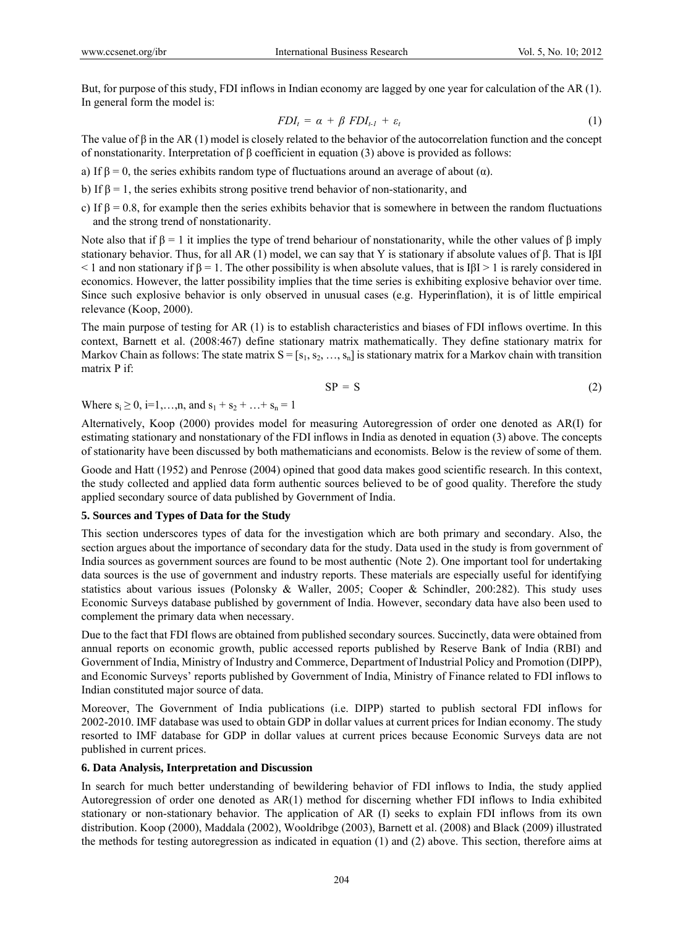But, for purpose of this study, FDI inflows in Indian economy are lagged by one year for calculation of the AR (1). In general form the model is:

$$
FDI_t = \alpha + \beta FDI_{t-1} + \varepsilon_t \tag{1}
$$

The value of  $\beta$  in the AR (1) model is closely related to the behavior of the autocorrelation function and the concept of nonstationarity. Interpretation of β coefficient in equation (3) above is provided as follows:

- a) If  $\beta = 0$ , the series exhibits random type of fluctuations around an average of about ( $\alpha$ ).
- b) If  $\beta = 1$ , the series exhibits strong positive trend behavior of non-stationarity, and
- c) If  $\beta = 0.8$ , for example then the series exhibits behavior that is somewhere in between the random fluctuations and the strong trend of nonstationarity.

Note also that if  $β = 1$  it implies the type of trend behariour of nonstationarity, while the other values of β imply stationary behavior. Thus, for all AR (1) model, we can say that Y is stationary if absolute values of β. That is IβI  $<$  1 and non stationary if  $\beta$  = 1. The other possibility is when absolute values, that is I $\beta$ I > 1 is rarely considered in economics. However, the latter possibility implies that the time series is exhibiting explosive behavior over time. Since such explosive behavior is only observed in unusual cases (e.g. Hyperinflation), it is of little empirical relevance (Koop, 2000).

The main purpose of testing for AR (1) is to establish characteristics and biases of FDI inflows overtime. In this context, Barnett et al. (2008:467) define stationary matrix mathematically. They define stationary matrix for Markov Chain as follows: The state matrix  $S = [s_1, s_2, ..., s_n]$  is stationary matrix for a Markov chain with transition matrix P if:

$$
SP = S \tag{2}
$$

Where  $s_i \ge 0$ , i=1,...,n, and  $s_1 + s_2 + ... + s_n = 1$ 

Alternatively, Koop (2000) provides model for measuring Autoregression of order one denoted as AR(I) for estimating stationary and nonstationary of the FDI inflows in India as denoted in equation (3) above. The concepts of stationarity have been discussed by both mathematicians and economists. Below is the review of some of them.

Goode and Hatt (1952) and Penrose (2004) opined that good data makes good scientific research. In this context, the study collected and applied data form authentic sources believed to be of good quality. Therefore the study applied secondary source of data published by Government of India.

## **5. Sources and Types of Data for the Study**

This section underscores types of data for the investigation which are both primary and secondary. Also, the section argues about the importance of secondary data for the study. Data used in the study is from government of India sources as government sources are found to be most authentic (Note 2). One important tool for undertaking data sources is the use of government and industry reports. These materials are especially useful for identifying statistics about various issues (Polonsky & Waller, 2005; Cooper & Schindler, 200:282). This study uses Economic Surveys database published by government of India. However, secondary data have also been used to complement the primary data when necessary.

Due to the fact that FDI flows are obtained from published secondary sources. Succinctly, data were obtained from annual reports on economic growth, public accessed reports published by Reserve Bank of India (RBI) and Government of India, Ministry of Industry and Commerce, Department of Industrial Policy and Promotion (DIPP), and Economic Surveys' reports published by Government of India, Ministry of Finance related to FDI inflows to Indian constituted major source of data.

Moreover, The Government of India publications (i.e. DIPP) started to publish sectoral FDI inflows for 2002-2010. IMF database was used to obtain GDP in dollar values at current prices for Indian economy. The study resorted to IMF database for GDP in dollar values at current prices because Economic Surveys data are not published in current prices.

## **6. Data Analysis, Interpretation and Discussion**

In search for much better understanding of bewildering behavior of FDI inflows to India, the study applied Autoregression of order one denoted as AR(1) method for discerning whether FDI inflows to India exhibited stationary or non-stationary behavior. The application of AR (I) seeks to explain FDI inflows from its own distribution. Koop (2000), Maddala (2002), Wooldribge (2003), Barnett et al. (2008) and Black (2009) illustrated the methods for testing autoregression as indicated in equation (1) and (2) above. This section, therefore aims at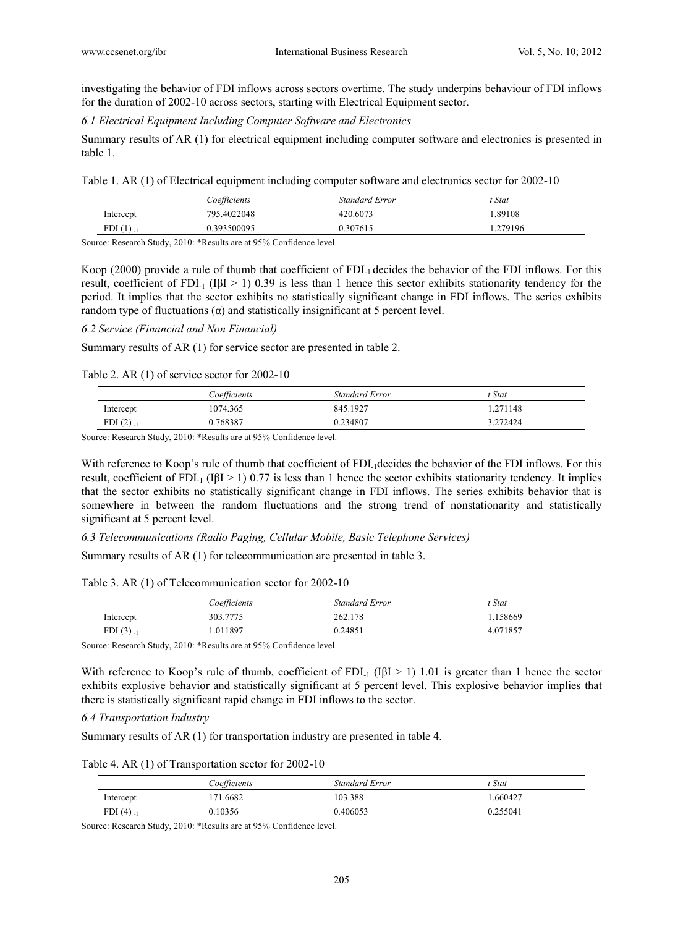investigating the behavior of FDI inflows across sectors overtime. The study underpins behaviour of FDI inflows for the duration of 2002-10 across sectors, starting with Electrical Equipment sector.

*6.1 Electrical Equipment Including Computer Software and Electronics* 

Summary results of AR (1) for electrical equipment including computer software and electronics is presented in table 1.

Table 1. AR (1) of Electrical equipment including computer software and electronics sector for 2002-10

|               | Coefficients | <b>Standard Error</b> | t Stat   |
|---------------|--------------|-----------------------|----------|
| Intercept     | 795.4022048  | 420.6073              | .89108   |
| $FDI(1)_{-1}$ | 0.393500095  | 0.307615              | 1.279196 |

Source: Research Study, 2010: \*Results are at 95% Confidence level.

Koop (2000) provide a rule of thumb that coefficient of FDI-1 decides the behavior of the FDI inflows. For this result, coefficient of FDI<sub>-1</sub> (IBI > 1) 0.39 is less than 1 hence this sector exhibits stationarity tendency for the period. It implies that the sector exhibits no statistically significant change in FDI inflows. The series exhibits random type of fluctuations  $(\alpha)$  and statistically insignificant at 5 percent level.

*6.2 Service (Financial and Non Financial)* 

Summary results of AR (1) for service sector are presented in table 2.

Table 2. AR (1) of service sector for 2002-10

|               | Coefficients | <b>Standard Error</b> | t Stat   |
|---------------|--------------|-----------------------|----------|
| Intercept     | 1074.365     | 845.1927              | 1.271148 |
| $FDI(2)_{-1}$ | 0.768387     | 0.234807              | 3.272424 |

Source: Research Study, 2010: \*Results are at 95% Confidence level.

With reference to Koop's rule of thumb that coefficient of FDI<sub>-1</sub>decides the behavior of the FDI inflows. For this result, coefficient of FDI<sub>-1</sub> (I $\beta$ I > 1) 0.77 is less than 1 hence the sector exhibits stationarity tendency. It implies that the sector exhibits no statistically significant change in FDI inflows. The series exhibits behavior that is somewhere in between the random fluctuations and the strong trend of nonstationarity and statistically significant at 5 percent level.

#### *6.3 Telecommunications (Radio Paging, Cellular Mobile, Basic Telephone Services)*

Summary results of AR (1) for telecommunication are presented in table 3.

Table 3. AR (1) of Telecommunication sector for 2002-10

|               | Coefficients | Standard Error | t Stat   |
|---------------|--------------|----------------|----------|
| Intercept     | 303.7775     | 262.178        | .158669  |
| $FDI(3)_{-1}$ | .011897      | 0.24851        | 4.071857 |

Source: Research Study, 2010: \*Results are at 95% Confidence level.

With reference to Koop's rule of thumb, coefficient of FDI<sub>-1</sub> (I $\beta$ I > 1) 1.01 is greater than 1 hence the sector exhibits explosive behavior and statistically significant at 5 percent level. This explosive behavior implies that there is statistically significant rapid change in FDI inflows to the sector.

## *6.4 Transportation Industry*

Summary results of AR (1) for transportation industry are presented in table 4.

Table 4. AR (1) of Transportation sector for 2002-10

|            | Coefficients | Standard Error | <b>Stat</b> |
|------------|--------------|----------------|-------------|
| Intercept  | 171.6682     | 103.388        | .660427     |
| $FDI(4)$ . | 9.10356      | 0.406053       | 0.255041    |

Source: Research Study, 2010: \*Results are at 95% Confidence level.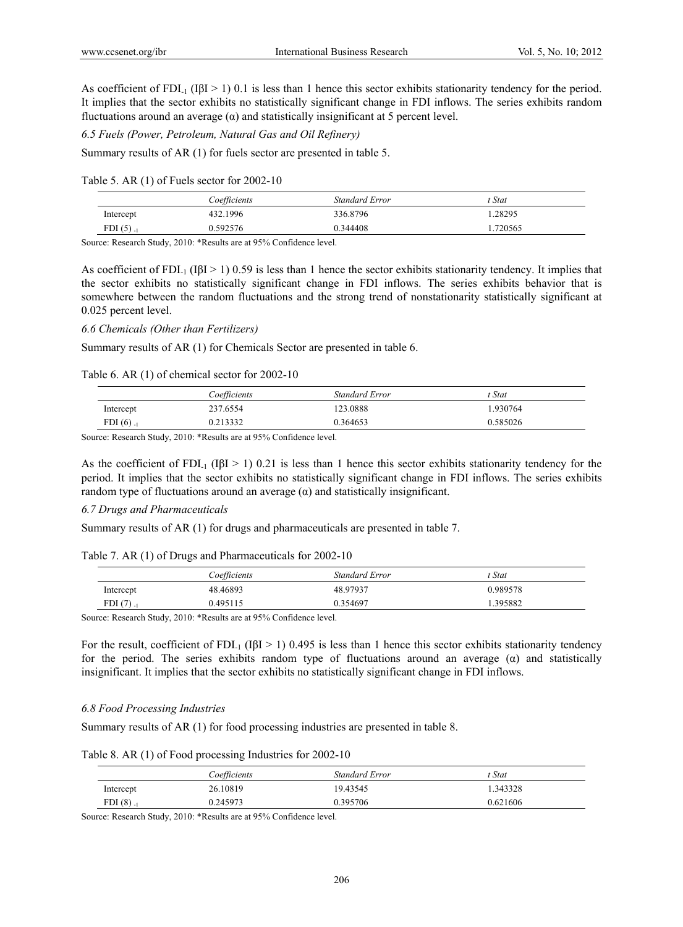As coefficient of FDI<sub>-1</sub> (I $\beta$ I > 1) 0.1 is less than 1 hence this sector exhibits stationarity tendency for the period. It implies that the sector exhibits no statistically significant change in FDI inflows. The series exhibits random fluctuations around an average  $(\alpha)$  and statistically insignificant at 5 percent level.

*6.5 Fuels (Power, Petroleum, Natural Gas and Oil Refinery)* 

Summary results of AR (1) for fuels sector are presented in table 5.

Table 5. AR (1) of Fuels sector for 2002-10

|               | Coefficients | Standard Error | t Stat  |
|---------------|--------------|----------------|---------|
| Intercept     | 432.1996     | 336.8796       | .28295  |
| $FDI(5)_{-1}$ | 0.592576     | 0.344408       | .720565 |

Source: Research Study, 2010: \*Results are at 95% Confidence level.

As coefficient of FDI<sub>-1</sub> (I $\beta$ I > 1) 0.59 is less than 1 hence the sector exhibits stationarity tendency. It implies that the sector exhibits no statistically significant change in FDI inflows. The series exhibits behavior that is somewhere between the random fluctuations and the strong trend of nonstationarity statistically significant at 0.025 percent level.

*6.6 Chemicals (Other than Fertilizers)* 

Summary results of AR (1) for Chemicals Sector are presented in table 6.

Table 6. AR (1) of chemical sector for 2002-10

|            | Coefficients | Standard Error | t Stat   |
|------------|--------------|----------------|----------|
| Intercept  | 237.6554     | 123.0888       | .930764  |
| $FDI(6)$ . | 0.213332     | 0.364653       | 0.585026 |

Source: Research Study, 2010: \*Results are at 95% Confidence level.

As the coefficient of FDI<sub>-1</sub> (I $\beta$ I > 1) 0.21 is less than 1 hence this sector exhibits stationarity tendency for the period. It implies that the sector exhibits no statistically significant change in FDI inflows. The series exhibits random type of fluctuations around an average  $(\alpha)$  and statistically insignificant.

## *6.7 Drugs and Pharmaceuticals*

Summary results of AR (1) for drugs and pharmaceuticals are presented in table 7.

#### Table 7. AR (1) of Drugs and Pharmaceuticals for 2002-10

|            | Coefficients | Standard Error | t Stat   |
|------------|--------------|----------------|----------|
| Intercept  | 48.46893     | 48.97937       | 0.989578 |
| $FDI(7)$ . | 0.495115     | 0.354697       | .395882  |

Source: Research Study, 2010: \*Results are at 95% Confidence level.

For the result, coefficient of FDI<sub>-1</sub> (I $\beta$ I > 1) 0.495 is less than 1 hence this sector exhibits stationarity tendency for the period. The series exhibits random type of fluctuations around an average  $(\alpha)$  and statistically insignificant. It implies that the sector exhibits no statistically significant change in FDI inflows.

## *6.8 Food Processing Industries*

Summary results of AR (1) for food processing industries are presented in table 8.

Table 8. AR (1) of Food processing Industries for 2002-10

|              | Coefficients | Standard Error | ' Stat   |
|--------------|--------------|----------------|----------|
| Intercept    | 26.10819     | 19.43545       | .343328  |
| $FDI(8) = 1$ | 9.245973     | 0.395706       | 0.621606 |

Source: Research Study, 2010: \*Results are at 95% Confidence level.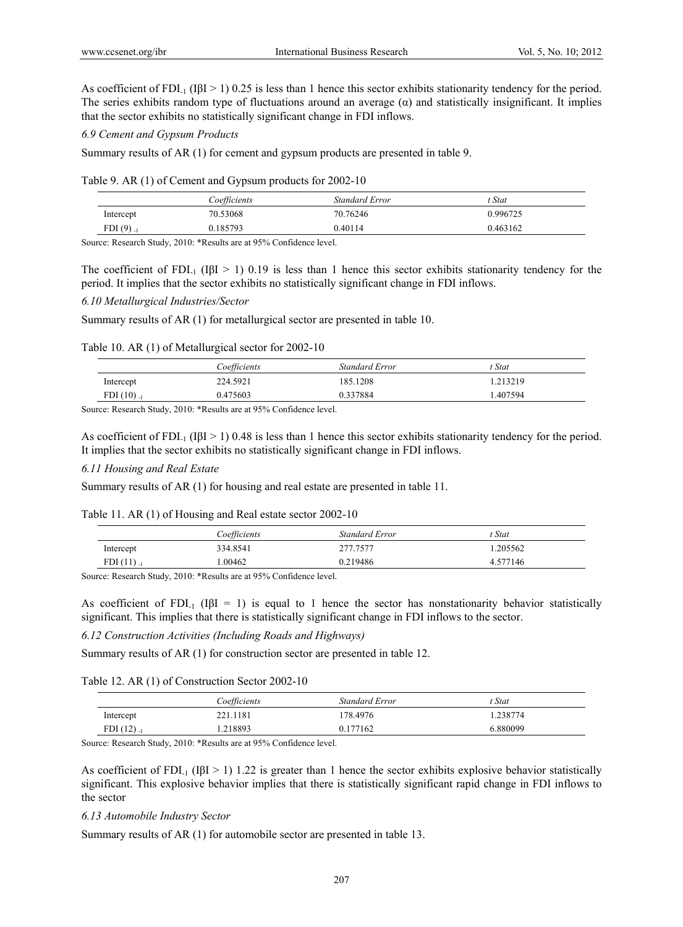As coefficient of FDI<sub>-1</sub> (I $\beta$ I > 1) 0.25 is less than 1 hence this sector exhibits stationarity tendency for the period. The series exhibits random type of fluctuations around an average  $(\alpha)$  and statistically insignificant. It implies that the sector exhibits no statistically significant change in FDI inflows.

## *6.9 Cement and Gypsum Products*

Summary results of AR (1) for cement and gypsum products are presented in table 9.

Table 9. AR (1) of Cement and Gypsum products for 2002-10

|               | Coefficients | <b>Standard Error</b> | t Stat   |
|---------------|--------------|-----------------------|----------|
| Intercept     | 70.53068     | 70.76246              | 0.996725 |
| $FDI(9)_{-1}$ | 0.185793     | 0.40114               | 0.463162 |

Source: Research Study, 2010: \*Results are at 95% Confidence level.

The coefficient of FDI<sub>-1</sub> (I $\beta$ I > 1) 0.19 is less than 1 hence this sector exhibits stationarity tendency for the period. It implies that the sector exhibits no statistically significant change in FDI inflows.

#### *6.10 Metallurgical Industries/Sector*

Summary results of AR (1) for metallurgical sector are presented in table 10.

#### Table 10. AR (1) of Metallurgical sector for 2002-10

|              | Coefficients | <b>Standard Error</b> | t Stat  |
|--------------|--------------|-----------------------|---------|
| Intercept    | 224.5921     | 185.1208              | .213219 |
| $FDI(10)$ -1 | 0.475603     | 0.337884              | .407594 |

Source: Research Study, 2010: \*Results are at 95% Confidence level.

As coefficient of FDI<sub>-1</sub> (I $\beta$ I > 1) 0.48 is less than 1 hence this sector exhibits stationarity tendency for the period. It implies that the sector exhibits no statistically significant change in FDI inflows.

## *6.11 Housing and Real Estate*

Summary results of AR (1) for housing and real estate are presented in table 11.

#### Table 11. AR (1) of Housing and Real estate sector 2002-10

|           | Coefficients | <b>Standard Error</b> | : Stat   |
|-----------|--------------|-----------------------|----------|
| Intercept | 334.8541     | 277.7577              | .205562  |
| FDI(11)   | .00462       | 0.219486              | 4.577146 |

Source: Research Study, 2010: \*Results are at 95% Confidence level.

As coefficient of FDI<sub>-1</sub> (I $\beta$ I = 1) is equal to 1 hence the sector has nonstationarity behavior statistically significant. This implies that there is statistically significant change in FDI inflows to the sector.

*6.12 Construction Activities (Including Roads and Highways)* 

Summary results of AR (1) for construction sector are presented in table 12.

#### Table 12. AR (1) of Construction Sector 2002-10

|                | Coefficients | Standard Error | <b>Stat</b> |
|----------------|--------------|----------------|-------------|
| Intercept      | 221.1181     | 178.4976       | .238774     |
| $FDI(12)_{-1}$ | .218893      | 0.177162       | 6880099     |

Source: Research Study, 2010: \*Results are at 95% Confidence level.

As coefficient of FDI<sub>-1</sub> (I $\beta$ I > 1) 1.22 is greater than 1 hence the sector exhibits explosive behavior statistically significant. This explosive behavior implies that there is statistically significant rapid change in FDI inflows to the sector

#### *6.13 Automobile Industry Sector*

Summary results of AR (1) for automobile sector are presented in table 13.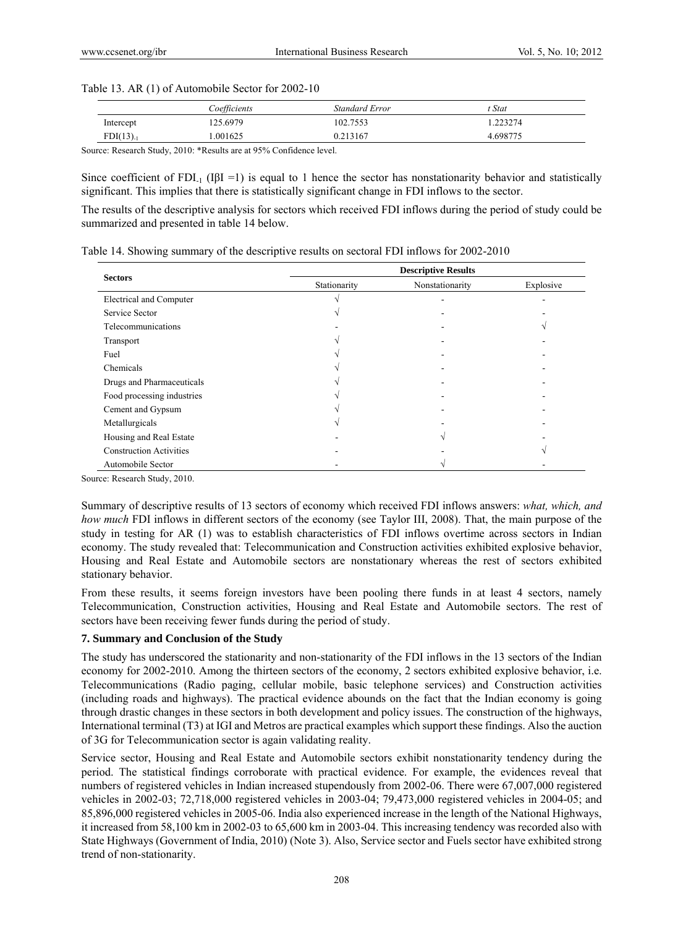## Table 13. AR (1) of Automobile Sector for 2002-10

|                          | Coefficients | <b>Standard Error</b> | t Stat   |
|--------------------------|--------------|-----------------------|----------|
| Intercept                | 125.6979     | 102.7553              | .223274  |
| $FDI(13)_{-1}$           | .001625      | 0.213167              | 4.698775 |
| the property of the con- | .            |                       |          |

Source: Research Study, 2010: \*Results are at 95% Confidence level.

Since coefficient of FDI<sub>-1</sub> (IBI =1) is equal to 1 hence the sector has nonstationarity behavior and statistically significant. This implies that there is statistically significant change in FDI inflows to the sector.

The results of the descriptive analysis for sectors which received FDI inflows during the period of study could be summarized and presented in table 14 below.

|  | Table 14. Showing summary of the descriptive results on sectoral FDI inflows for 2002-2010 |  |  |  |
|--|--------------------------------------------------------------------------------------------|--|--|--|
|  |                                                                                            |  |  |  |

|                                | <b>Descriptive Results</b> |                 |           |  |  |
|--------------------------------|----------------------------|-----------------|-----------|--|--|
| <b>Sectors</b>                 | Stationarity               | Nonstationarity | Explosive |  |  |
| Electrical and Computer        |                            |                 |           |  |  |
| Service Sector                 |                            |                 |           |  |  |
| Telecommunications             |                            |                 |           |  |  |
| Transport                      |                            |                 |           |  |  |
| Fuel                           |                            |                 |           |  |  |
| Chemicals                      |                            |                 |           |  |  |
| Drugs and Pharmaceuticals      |                            |                 |           |  |  |
| Food processing industries     |                            |                 |           |  |  |
| Cement and Gypsum              |                            |                 |           |  |  |
| Metallurgicals                 |                            |                 |           |  |  |
| Housing and Real Estate        |                            |                 |           |  |  |
| <b>Construction Activities</b> |                            |                 |           |  |  |
| Automobile Sector              |                            |                 |           |  |  |

Source: Research Study, 2010.

Summary of descriptive results of 13 sectors of economy which received FDI inflows answers: *what, which, and how much* FDI inflows in different sectors of the economy (see Taylor III, 2008). That, the main purpose of the study in testing for AR (1) was to establish characteristics of FDI inflows overtime across sectors in Indian economy. The study revealed that: Telecommunication and Construction activities exhibited explosive behavior, Housing and Real Estate and Automobile sectors are nonstationary whereas the rest of sectors exhibited stationary behavior.

From these results, it seems foreign investors have been pooling there funds in at least 4 sectors, namely Telecommunication, Construction activities, Housing and Real Estate and Automobile sectors. The rest of sectors have been receiving fewer funds during the period of study.

## **7. Summary and Conclusion of the Study**

The study has underscored the stationarity and non-stationarity of the FDI inflows in the 13 sectors of the Indian economy for 2002-2010. Among the thirteen sectors of the economy, 2 sectors exhibited explosive behavior, i.e. Telecommunications (Radio paging, cellular mobile, basic telephone services) and Construction activities (including roads and highways). The practical evidence abounds on the fact that the Indian economy is going through drastic changes in these sectors in both development and policy issues. The construction of the highways, International terminal (T3) at IGI and Metros are practical examples which support these findings. Also the auction of 3G for Telecommunication sector is again validating reality.

Service sector, Housing and Real Estate and Automobile sectors exhibit nonstationarity tendency during the period. The statistical findings corroborate with practical evidence. For example, the evidences reveal that numbers of registered vehicles in Indian increased stupendously from 2002-06. There were 67,007,000 registered vehicles in 2002-03; 72,718,000 registered vehicles in 2003-04; 79,473,000 registered vehicles in 2004-05; and 85,896,000 registered vehicles in 2005-06. India also experienced increase in the length of the National Highways, it increased from 58,100 km in 2002-03 to 65,600 km in 2003-04. This increasing tendency was recorded also with State Highways (Government of India, 2010) (Note 3). Also, Service sector and Fuels sector have exhibited strong trend of non-stationarity.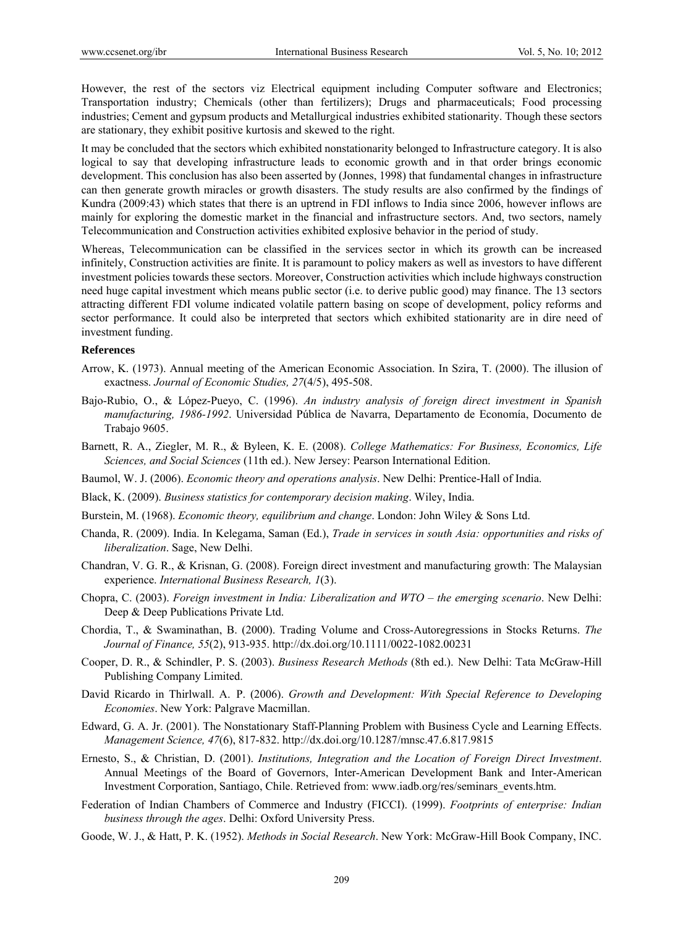However, the rest of the sectors viz Electrical equipment including Computer software and Electronics; Transportation industry; Chemicals (other than fertilizers); Drugs and pharmaceuticals; Food processing industries; Cement and gypsum products and Metallurgical industries exhibited stationarity. Though these sectors are stationary, they exhibit positive kurtosis and skewed to the right.

It may be concluded that the sectors which exhibited nonstationarity belonged to Infrastructure category. It is also logical to say that developing infrastructure leads to economic growth and in that order brings economic development. This conclusion has also been asserted by (Jonnes, 1998) that fundamental changes in infrastructure can then generate growth miracles or growth disasters. The study results are also confirmed by the findings of Kundra (2009:43) which states that there is an uptrend in FDI inflows to India since 2006, however inflows are mainly for exploring the domestic market in the financial and infrastructure sectors. And, two sectors, namely Telecommunication and Construction activities exhibited explosive behavior in the period of study.

Whereas, Telecommunication can be classified in the services sector in which its growth can be increased infinitely, Construction activities are finite. It is paramount to policy makers as well as investors to have different investment policies towards these sectors. Moreover, Construction activities which include highways construction need huge capital investment which means public sector (i.e. to derive public good) may finance. The 13 sectors attracting different FDI volume indicated volatile pattern basing on scope of development, policy reforms and sector performance. It could also be interpreted that sectors which exhibited stationarity are in dire need of investment funding.

## **References**

- Arrow, K. (1973). Annual meeting of the American Economic Association. In Szira, T. (2000). The illusion of exactness. *Journal of Economic Studies, 27*(4/5), 495-508.
- Bajo-Rubio, O., & López-Pueyo, C. (1996). *An industry analysis of foreign direct investment in Spanish manufacturing, 1986-1992*. Universidad Pública de Navarra, Departamento de Economía, Documento de Trabajo 9605.
- Barnett, R. A., Ziegler, M. R., & Byleen, K. E. (2008). *College Mathematics: For Business, Economics, Life Sciences, and Social Sciences* (11th ed.). New Jersey: Pearson International Edition.
- Baumol, W. J. (2006). *Economic theory and operations analysis*. New Delhi: Prentice-Hall of India.
- Black, K. (2009). *Business statistics for contemporary decision making*. Wiley, India.
- Burstein, M. (1968). *Economic theory, equilibrium and change*. London: John Wiley & Sons Ltd.
- Chanda, R. (2009). India. In Kelegama, Saman (Ed.), *Trade in services in south Asia: opportunities and risks of liberalization*. Sage, New Delhi.
- Chandran, V. G. R., & Krisnan, G. (2008). Foreign direct investment and manufacturing growth: The Malaysian experience. *International Business Research, 1*(3).
- Chopra, C. (2003). *Foreign investment in India: Liberalization and WTO the emerging scenario*. New Delhi: Deep & Deep Publications Private Ltd.
- Chordia, T., & Swaminathan, B. (2000). Trading Volume and Cross-Autoregressions in Stocks Returns. *The Journal of Finance, 55*(2), 913-935. http://dx.doi.org/10.1111/0022-1082.00231
- Cooper, D. R., & Schindler, P. S. (2003). *Business Research Methods* (8th ed.). New Delhi: Tata McGraw-Hill Publishing Company Limited.
- David Ricardo in Thirlwall. A. P. (2006). *Growth and Development: With Special Reference to Developing Economies*. New York: Palgrave Macmillan.
- Edward, G. A. Jr. (2001). The Nonstationary Staff-Planning Problem with Business Cycle and Learning Effects. *Management Science, 47*(6), 817-832. http://dx.doi.org/10.1287/mnsc.47.6.817.9815
- Ernesto, S., & Christian, D. (2001). *Institutions, Integration and the Location of Foreign Direct Investment*. Annual Meetings of the Board of Governors, Inter-American Development Bank and Inter-American Investment Corporation, Santiago, Chile. Retrieved from: www.iadb.org/res/seminars\_events.htm.
- Federation of Indian Chambers of Commerce and Industry (FICCI). (1999). *Footprints of enterprise: Indian business through the ages*. Delhi: Oxford University Press.
- Goode, W. J., & Hatt, P. K. (1952). *Methods in Social Research*. New York: McGraw-Hill Book Company, INC.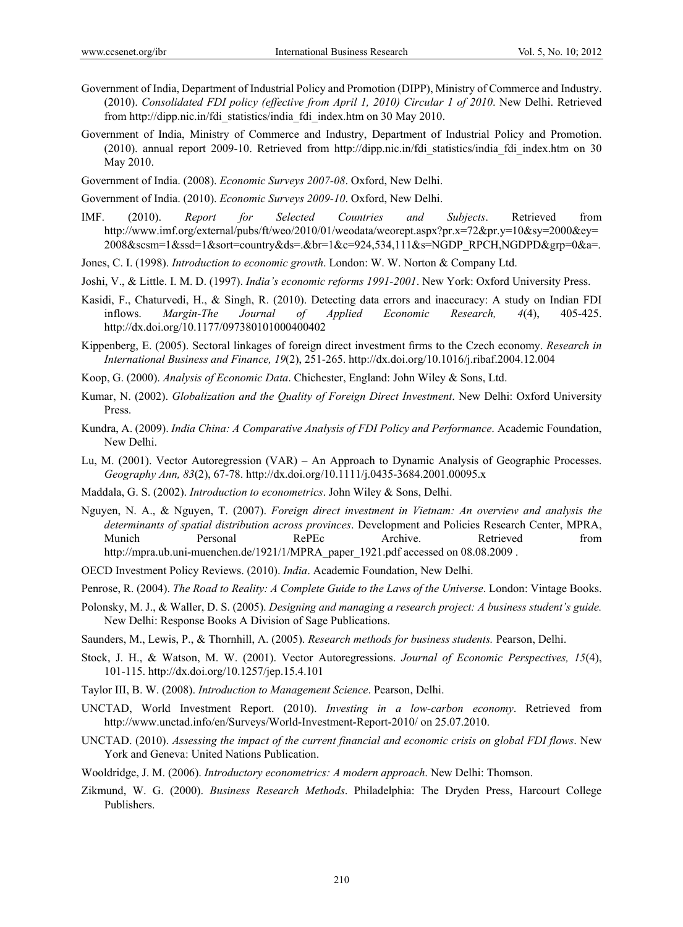- Government of India, Department of Industrial Policy and Promotion (DIPP), Ministry of Commerce and Industry. (2010). *Consolidated FDI policy (effective from April 1, 2010) Circular 1 of 2010*. New Delhi. Retrieved from http://dipp.nic.in/fdi\_statistics/india\_fdi\_index.htm on 30 May 2010.
- Government of India, Ministry of Commerce and Industry, Department of Industrial Policy and Promotion. (2010). annual report 2009-10. Retrieved from http://dipp.nic.in/fdi\_statistics/india\_fdi\_index.htm on 30 May 2010.

Government of India. (2008). *Economic Surveys 2007-08*. Oxford, New Delhi.

Government of India. (2010). *Economic Surveys 2009-10*. Oxford, New Delhi.

- IMF. (2010). *Report for Selected Countries and Subjects*. Retrieved from http://www.imf.org/external/pubs/ft/weo/2010/01/weodata/weorept.aspx?pr.x=72&pr.y=10&sy=2000&ey= 2008&scsm=1&ssd=1&sort=country&ds=.&br=1&c=924,534,111&s=NGDP\_RPCH,NGDPD&grp=0&a=.
- Jones, C. I. (1998). *Introduction to economic growth*. London: W. W. Norton & Company Ltd.
- Joshi, V., & Little. I. M. D. (1997). *India's economic reforms 1991-2001*. New York: Oxford University Press.
- Kasidi, F., Chaturvedi, H., & Singh, R. (2010). Detecting data errors and inaccuracy: A study on Indian FDI inflows. *Margin-The Journal of Applied Economic Research, 4*(4), 405-425. http://dx.doi.org/10.1177/097380101000400402
- Kippenberg, E. (2005). Sectoral linkages of foreign direct investment firms to the Czech economy. *Research in International Business and Finance, 19*(2), 251-265. http://dx.doi.org/10.1016/j.ribaf.2004.12.004
- Koop, G. (2000). *Analysis of Economic Data*. Chichester, England: John Wiley & Sons, Ltd.
- Kumar, N. (2002). *Globalization and the Quality of Foreign Direct Investment*. New Delhi: Oxford University Press.
- Kundra, A. (2009). *India China: A Comparative Analysis of FDI Policy and Performance*. Academic Foundation, New Delhi.
- Lu, M. (2001). Vector Autoregression (VAR) An Approach to Dynamic Analysis of Geographic Processes. *Geography Ann, 83*(2), 67-78. http://dx.doi.org/10.1111/j.0435-3684.2001.00095.x
- Maddala, G. S. (2002). *Introduction to econometrics*. John Wiley & Sons, Delhi.
- Nguyen, N. A., & Nguyen, T. (2007). *Foreign direct investment in Vietnam: An overview and analysis the determinants of spatial distribution across provinces*. Development and Policies Research Center, MPRA, Munich Personal RePEc Archive. Retrieved from http://mpra.ub.uni-muenchen.de/1921/1/MPRA\_paper\_1921.pdf accessed on 08.08.2009 .
- OECD Investment Policy Reviews. (2010). *India*. Academic Foundation, New Delhi.
- Penrose, R. (2004). *The Road to Reality: A Complete Guide to the Laws of the Universe*. London: Vintage Books.
- Polonsky, M. J., & Waller, D. S. (2005). *Designing and managing a research project: A business student's guide.* New Delhi: Response Books A Division of Sage Publications.
- Saunders, M., Lewis, P., & Thornhill, A. (2005). *Research methods for business students.* Pearson, Delhi.
- Stock, J. H., & Watson, M. W. (2001). Vector Autoregressions. *Journal of Economic Perspectives, 15*(4), 101-115. http://dx.doi.org/10.1257/jep.15.4.101
- Taylor III, B. W. (2008). *Introduction to Management Science*. Pearson, Delhi.
- UNCTAD, World Investment Report. (2010). *Investing in a low-carbon economy*. Retrieved from http://www.unctad.info/en/Surveys/World-Investment-Report-2010/ on 25.07.2010.
- UNCTAD. (2010). *Assessing the impact of the current financial and economic crisis on global FDI flows*. New York and Geneva: United Nations Publication.
- Wooldridge, J. M. (2006). *Introductory econometrics: A modern approach*. New Delhi: Thomson.
- Zikmund, W. G. (2000). *Business Research Methods*. Philadelphia: The Dryden Press, Harcourt College Publishers.